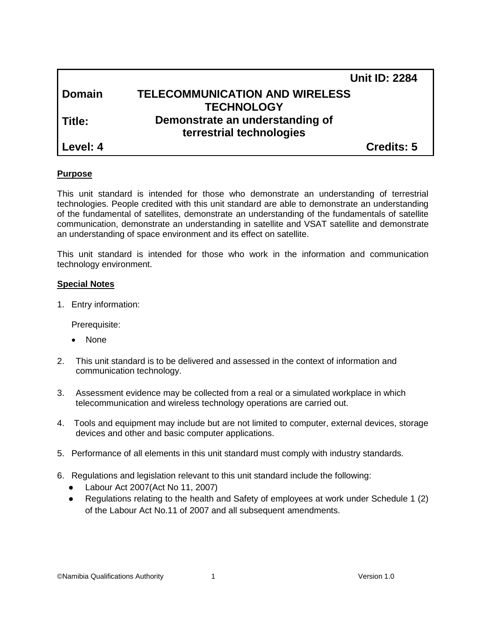|               | <b>Unit ID: 2284</b>                  |
|---------------|---------------------------------------|
| <b>Domain</b> | <b>TELECOMMUNICATION AND WIRELESS</b> |
|               | <b>TECHNOLOGY</b>                     |
| l Title:      | Demonstrate an understanding of       |
|               | terrestrial technologies              |
| l Level: 4    | <b>Credits: 5</b>                     |

#### **Purpose**

This unit standard is intended for those who demonstrate an understanding of terrestrial technologies. People credited with this unit standard are able to demonstrate an understanding of the fundamental of satellites, demonstrate an understanding of the fundamentals of satellite communication, demonstrate an understanding in satellite and VSAT satellite and demonstrate an understanding of space environment and its effect on satellite.

This unit standard is intended for those who work in the information and communication technology environment.

#### **Special Notes**

1. Entry information:

Prerequisite:

- None
- 2. This unit standard is to be delivered and assessed in the context of information and communication technology.
- 3. Assessment evidence may be collected from a real or a simulated workplace in which telecommunication and wireless technology operations are carried out.
- 4. Tools and equipment may include but are not limited to computer, external devices, storage devices and other and basic computer applications.
- 5. Performance of all elements in this unit standard must comply with industry standards.
- 6. Regulations and legislation relevant to this unit standard include the following:
	- Labour Act 2007(Act No 11, 2007)
	- Regulations relating to the health and Safety of employees at work under Schedule 1 (2) of the Labour Act No.11 of 2007 and all subsequent amendments.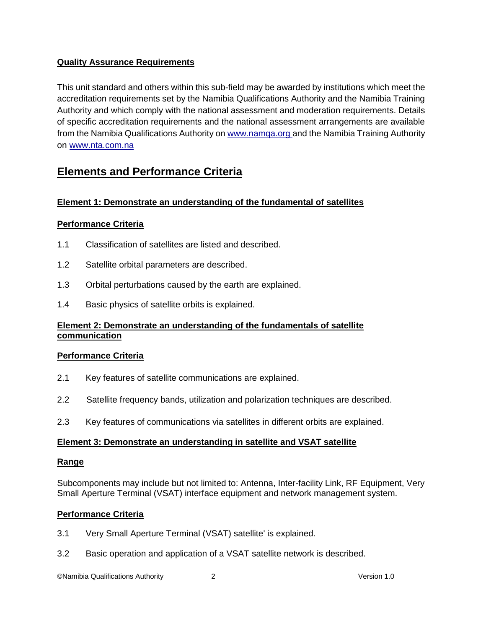## **Quality Assurance Requirements**

This unit standard and others within this sub-field may be awarded by institutions which meet the accreditation requirements set by the Namibia Qualifications Authority and the Namibia Training Authority and which comply with the national assessment and moderation requirements. Details of specific accreditation requirements and the national assessment arrangements are available from the Namibia Qualifications Authority o[n www.namqa.org a](http://www.namqa.org/)nd the Namibia Training Authority on [www.nta.com.na](http://www.nta.com.na/)

# **Elements and Performance Criteria**

## **Element 1: Demonstrate an understanding of the fundamental of satellites**

#### **Performance Criteria**

- 1.1 Classification of satellites are listed and described.
- 1.2 Satellite orbital parameters are described.
- 1.3 Orbital perturbations caused by the earth are explained.
- 1.4 Basic physics of satellite orbits is explained.

## **Element 2: Demonstrate an understanding of the fundamentals of satellite communication**

#### **Performance Criteria**

- 2.1 Key features of satellite communications are explained.
- 2.2 Satellite frequency bands, utilization and polarization techniques are described.
- 2.3 Key features of communications via satellites in different orbits are explained.

#### **Element 3: Demonstrate an understanding in satellite and VSAT satellite**

#### **Range**

Subcomponents may include but not limited to: Antenna, Inter-facility Link, RF Equipment, Very Small Aperture Terminal (VSAT) interface equipment and network management system.

#### **Performance Criteria**

- 3.1 Very Small Aperture Terminal (VSAT) satellite' is explained.
- 3.2 Basic operation and application of a VSAT satellite network is described.

©Namibia Qualifications Authority 2 Version 1.0